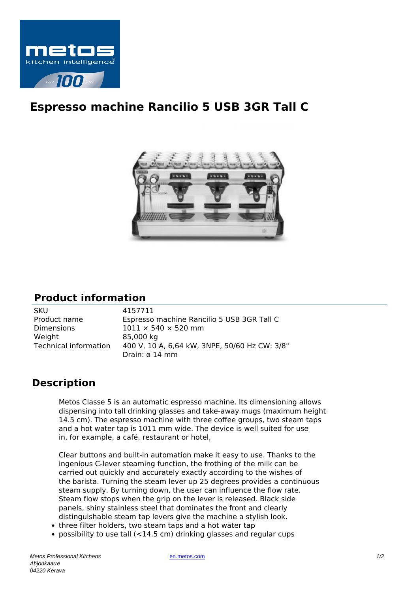

## **Espresso machine Rancilio 5 USB 3GR Tall C**



## **Product information**

| <b>SKU</b>            | 4157711                                       |
|-----------------------|-----------------------------------------------|
| Product name          | Espresso machine Rancilio 5 USB 3GR Tall C    |
| <b>Dimensions</b>     | $1011 \times 540 \times 520$ mm               |
| Weight                | 85,000 kg                                     |
| Technical information | 400 V, 10 A, 6,64 kW, 3NPE, 50/60 Hz CW: 3/8" |
|                       | Drain: $\varnothing$ 14 mm                    |

## **Description**

Metos Classe 5 is an automatic espresso machine. Its dimensioning allows dispensing into tall drinking glasses and take-away mugs (maximum height 14.5 cm). The espresso machine with three coffee groups, two steam taps and a hot water tap is 1011 mm wide. The device is well suited for use in, for example, a café, restaurant or hotel,

Clear buttons and built-in automation make it easy to use. Thanks to the ingenious C-lever steaming function, the frothing of the milk can be carried out quickly and accurately exactly according to the wishes of the barista. Turning the steam lever up 25 degrees provides a continuous steam supply. By turning down, the user can influence the flow rate. Steam flow stops when the grip on the lever is released. Black side panels, shiny stainless steel that dominates the front and clearly distinguishable steam tap levers give the machine a stylish look.

- three filter holders, two steam taps and a hot water tap
- possibility to use tall (<14.5 cm) drinking glasses and regular cups